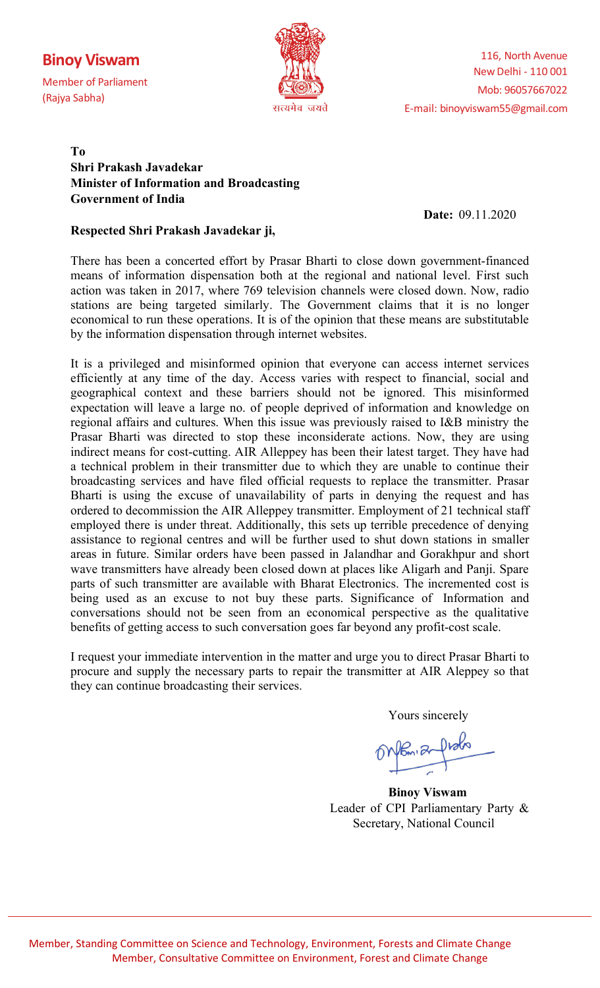# **Binoy Viswam**

Member of Parliament (Rajya Sabha)



## **To Shri Prakash Javadekar Minister of Information and Broadcasting Government of India**

 **Date:** 09.11.2020

### **Respected Shri Prakash Javadekar ji,**

There has been a concerted effort by Prasar Bharti to close down government-financed means of information dispensation both at the regional and national level. First such action was taken in 2017, where 769 television channels were closed down. Now, radio stations are being targeted similarly. The Government claims that it is no longer economical to run these operations. It is of the opinion that these means are substitutable by the information dispensation through internet websites.

It is a privileged and misinformed opinion that everyone can access internet services efficiently at any time of the day. Access varies with respect to financial, social and geographical context and these barriers should not be ignored. This misinformed expectation will leave a large no. of people deprived of information and knowledge on regional affairs and cultures. When this issue was previously raised to I&B ministry the Prasar Bharti was directed to stop these inconsiderate actions. Now, they are using indirect means for cost-cutting. AIR Alleppey has been their latest target. They have had a technical problem in their transmitter due to which they are unable to continue their broadcasting services and have filed official requests to replace the transmitter. Prasar Bharti is using the excuse of unavailability of parts in denying the request and has ordered to decommission the AIR Alleppey transmitter. Employment of 21 technical staff employed there is under threat. Additionally, this sets up terrible precedence of denying assistance to regional centres and will be further used to shut down stations in smaller areas in future. Similar orders have been passed in Jalandhar and Gorakhpur and short wave transmitters have already been closed down at places like Aligarh and Panji. Spare parts of such transmitter are available with Bharat Electronics. The incremented cost is being used as an excuse to not buy these parts. Significance of Information and conversations should not be seen from an economical perspective as the qualitative benefits of getting access to such conversation goes far beyond any profit-cost scale.

I request your immediate intervention in the matter and urge you to direct Prasar Bharti to procure and supply the necessary parts to repair the transmitter at AIR Aleppey so that they can continue broadcasting their services.

Yours sincerely

Onfon a from

 **Binoy Viswam**  Leader of CPI Parliamentary Party & Secretary, National Council